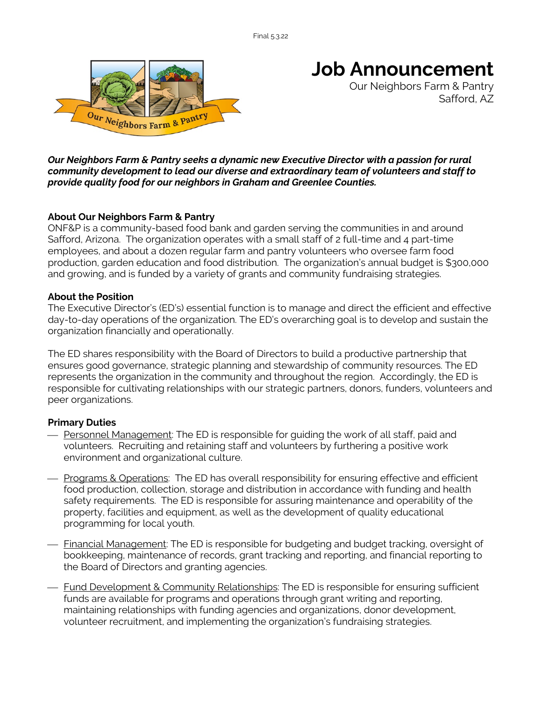

# **Job Announcement**

Our Neighbors Farm & Pantry Safford, AZ

*Our Neighbors Farm & Pantry seeks a dynamic new Executive Director with a passion for rural community development to lead our diverse and extraordinary team of volunteers and staff to provide quality food for our neighbors in Graham and Greenlee Counties.*

## **About Our Neighbors Farm & Pantry**

ONF&P is a community-based food bank and garden serving the communities in and around Safford, Arizona. The organization operates with a small staff of 2 full-time and 4 part-time employees, and about a dozen regular farm and pantry volunteers who oversee farm food production, garden education and food distribution. The organization's annual budget is \$300,000 and growing, and is funded by a variety of grants and community fundraising strategies.

#### **About the Position**

The Executive Director's (ED's) essential function is to manage and direct the efficient and effective day-to-day operations of the organization. The ED's overarching goal is to develop and sustain the organization financially and operationally.

The ED shares responsibility with the Board of Directors to build a productive partnership that ensures good governance, strategic planning and stewardship of community resources. The ED represents the organization in the community and throughout the region. Accordingly, the ED is responsible for cultivating relationships with our strategic partners, donors, funders, volunteers and peer organizations.

## **Primary Duties**

- Personnel Management: The ED is responsible for quiding the work of all staff, paid and volunteers. Recruiting and retaining staff and volunteers by furthering a positive work environment and organizational culture.
- ¾ Programs & Operations: The ED has overall responsibility for ensuring effective and efficient food production, collection, storage and distribution in accordance with funding and health safety requirements. The ED is responsible for assuring maintenance and operability of the property, facilities and equipment, as well as the development of quality educational programming for local youth.
- <u>Financial Management</u>: The ED is responsible for budgeting and budget tracking, oversight of bookkeeping, maintenance of records, grant tracking and reporting, and financial reporting to the Board of Directors and granting agencies.
- Fund Development & Community Relationships: The ED is responsible for ensuring sufficient funds are available for programs and operations through grant writing and reporting, maintaining relationships with funding agencies and organizations, donor development, volunteer recruitment, and implementing the organization's fundraising strategies.